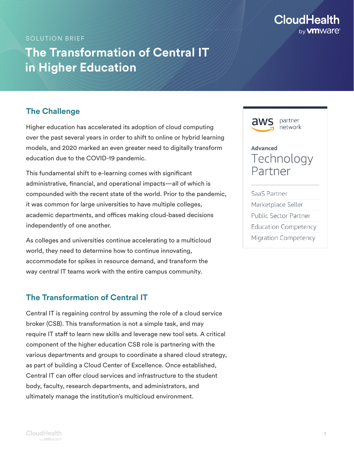

#### SOLUTION BRIEF

# **The Transformation of Central IT in Higher Education**

## **The Challenge**

Higher education has accelerated its adoption of cloud computing over the past several years in order to shift to online or hybrid learning models, and 2020 marked an even greater need to digitally transform education due to the COVID-19 pandemic.

This fundamental shift to e-learning comes with significant administrative, financial, and operational impacts—all of which is compounded with the recent state of the world. Prior to the pandemic, it was common for large universities to have multiple colleges, academic departments, and offices making cloud-based decisions independently of one another.

As colleges and universities continue accelerating to a multicloud world, they need to determine how to continue innovating, accommodate for spikes in resource demand, and transform the way central IT teams work with the entire campus community.

## **The Transformation of Central IT**

Central IT is regaining control by assuming the role of a cloud service broker (CSB). This transformation is not a simple task, and may require IT staff to learn new skills and leverage new tool sets. A critical component of the higher education CSB role is partnering with the various departments and groups to coordinate a shared cloud strategy, as part of building a Cloud Center of Excellence. Once established, Central IT can offer cloud services and infrastructure to the student body, faculty, research departments, and administrators, and ultimately manage the institution's multicloud environment.

partner network **Advanced** Technology Partner SaaS Partner Marketplace Seller Public Sector Partner **Education Competency** Migration Competency